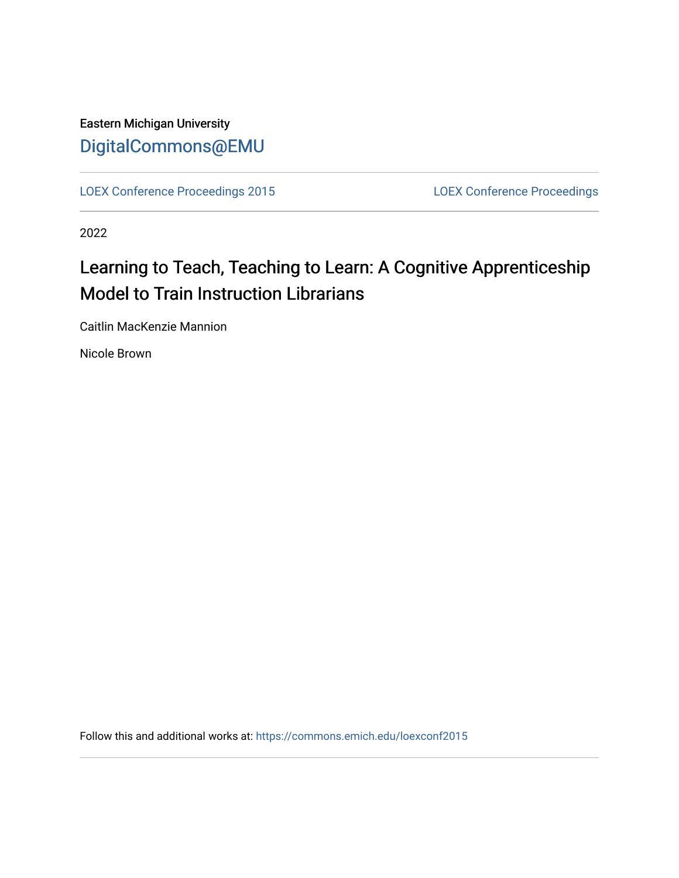### Eastern Michigan University [DigitalCommons@EMU](https://commons.emich.edu/)

[LOEX Conference Proceedings 2015](https://commons.emich.edu/loexconf2015) [LOEX Conference Proceedings](https://commons.emich.edu/loexconf) 

2022

## Learning to Teach, Teaching to Learn: A Cognitive Apprenticeship Model to Train Instruction Librarians

Caitlin MacKenzie Mannion

Nicole Brown

Follow this and additional works at: [https://commons.emich.edu/loexconf2015](https://commons.emich.edu/loexconf2015?utm_source=commons.emich.edu%2Floexconf2015%2F40&utm_medium=PDF&utm_campaign=PDFCoverPages)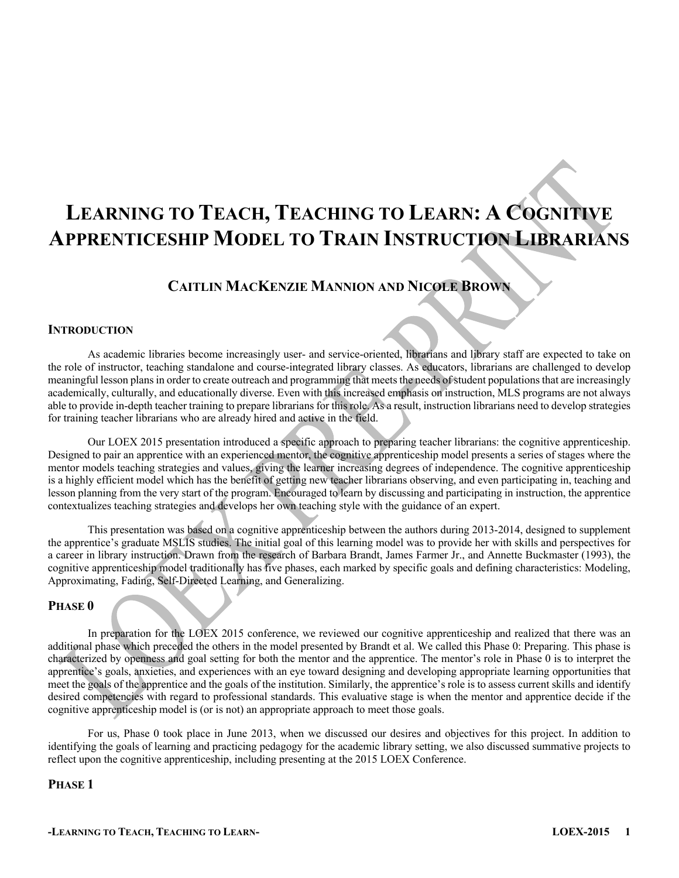# **LEARNING TO TEACH, TEACHING TO LEARN: A COGNITIVE APPRENTICESHIP MODEL TO TRAIN INSTRUCTION LIBRARIANS**

### **CAITLIN MACKENZIE MANNION AND NICOLE BROWN**

#### **INTRODUCTION**

As academic libraries become increasingly user- and service-oriented, librarians and library staff are expected to take on the role of instructor, teaching standalone and course-integrated library classes. As educators, librarians are challenged to develop meaningful lesson plans in order to create outreach and programming that meets the needs ofstudent populations that are increasingly academically, culturally, and educationally diverse. Even with this increased emphasis on instruction, MLS programs are not always able to provide in-depth teacher training to prepare librarians for this role. As a result, instruction librarians need to develop strategies for training teacher librarians who are already hired and active in the field.

Our LOEX 2015 presentation introduced a specific approach to preparing teacher librarians: the cognitive apprenticeship. Designed to pair an apprentice with an experienced mentor, the cognitive apprenticeship model presents a series of stages where the mentor models teaching strategies and values, giving the learner increasing degrees of independence. The cognitive apprenticeship is a highly efficient model which has the benefit of getting new teacher librarians observing, and even participating in, teaching and lesson planning from the very start of the program. Encouraged to learn by discussing and participating in instruction, the apprentice contextualizes teaching strategies and develops her own teaching style with the guidance of an expert.

This presentation was based on a cognitive apprenticeship between the authors during 2013-2014, designed to supplement the apprentice's graduate MSLIS studies. The initial goal of this learning model was to provide her with skills and perspectives for a career in library instruction. Drawn from the research of Barbara Brandt, James Farmer Jr., and Annette Buckmaster (1993), the cognitive apprenticeship model traditionally has five phases, each marked by specific goals and defining characteristics: Modeling, Approximating, Fading, Self-Directed Learning, and Generalizing.

#### **PHASE 0**

In preparation for the LOEX 2015 conference, we reviewed our cognitive apprenticeship and realized that there was an additional phase which preceded the others in the model presented by Brandt et al. We called this Phase 0: Preparing. This phase is characterized by openness and goal setting for both the mentor and the apprentice. The mentor's role in Phase 0 is to interpret the apprentice's goals, anxieties, and experiences with an eye toward designing and developing appropriate learning opportunities that meet the goals of the apprentice and the goals of the institution. Similarly, the apprentice's role is to assess current skills and identify desired competencies with regard to professional standards. This evaluative stage is when the mentor and apprentice decide if the cognitive apprenticeship model is (or is not) an appropriate approach to meet those goals.

For us, Phase 0 took place in June 2013, when we discussed our desires and objectives for this project. In addition to identifying the goals of learning and practicing pedagogy for the academic library setting, we also discussed summative projects to reflect upon the cognitive apprenticeship, including presenting at the 2015 LOEX Conference.

#### **PHASE 1**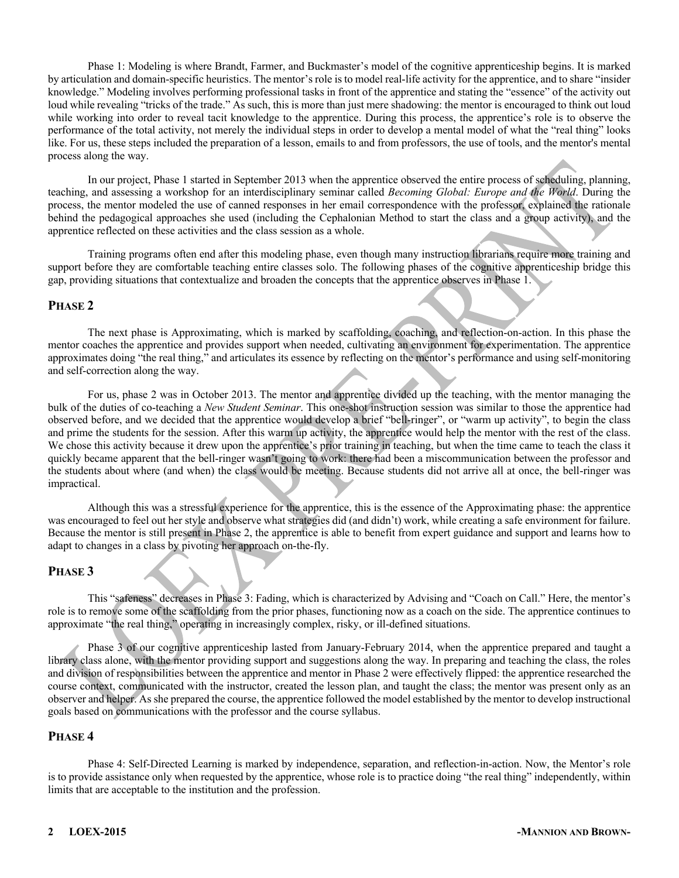Phase 1: Modeling is where Brandt, Farmer, and Buckmaster's model of the cognitive apprenticeship begins. It is marked by articulation and domain-specific heuristics. The mentor's role is to model real-life activity for the apprentice, and to share "insider knowledge." Modeling involves performing professional tasks in front of the apprentice and stating the "essence" of the activity out loud while revealing "tricks of the trade." As such, this is more than just mere shadowing: the mentor is encouraged to think out loud while working into order to reveal tacit knowledge to the apprentice. During this process, the apprentice's role is to observe the performance of the total activity, not merely the individual steps in order to develop a mental model of what the "real thing" looks like. For us, these steps included the preparation of a lesson, emails to and from professors, the use of tools, and the mentor's mental process along the way.

In our project, Phase 1 started in September 2013 when the apprentice observed the entire process of scheduling, planning, teaching, and assessing a workshop for an interdisciplinary seminar called *Becoming Global: Europe and the World*. During the process, the mentor modeled the use of canned responses in her email correspondence with the professor, explained the rationale behind the pedagogical approaches she used (including the Cephalonian Method to start the class and a group activity), and the apprentice reflected on these activities and the class session as a whole.

Training programs often end after this modeling phase, even though many instruction librarians require more training and support before they are comfortable teaching entire classes solo. The following phases of the cognitive apprenticeship bridge this gap, providing situations that contextualize and broaden the concepts that the apprentice observes in Phase 1.

#### **PHASE 2**

The next phase is Approximating, which is marked by scaffolding, coaching, and reflection-on-action. In this phase the mentor coaches the apprentice and provides support when needed, cultivating an environment for experimentation. The apprentice approximates doing "the real thing," and articulates its essence by reflecting on the mentor's performance and using self-monitoring and self-correction along the way.

For us, phase 2 was in October 2013. The mentor and apprentice divided up the teaching, with the mentor managing the bulk of the duties of co-teaching a *New Student Seminar*. This one-shot instruction session was similar to those the apprentice had observed before, and we decided that the apprentice would develop a brief "bell-ringer", or "warm up activity", to begin the class and prime the students for the session. After this warm up activity, the apprentice would help the mentor with the rest of the class. We chose this activity because it drew upon the apprentice's prior training in teaching, but when the time came to teach the class it quickly became apparent that the bell-ringer wasn't going to work: there had been a miscommunication between the professor and the students about where (and when) the class would be meeting. Because students did not arrive all at once, the bell-ringer was impractical.

Although this was a stressful experience for the apprentice, this is the essence of the Approximating phase: the apprentice was encouraged to feel out her style and observe what strategies did (and didn't) work, while creating a safe environment for failure. Because the mentor is still present in Phase 2, the apprentice is able to benefit from expert guidance and support and learns how to adapt to changes in a class by pivoting her approach on-the-fly.

#### **PHASE 3**

This "safeness" decreases in Phase 3: Fading, which is characterized by Advising and "Coach on Call." Here, the mentor's role is to remove some of the scaffolding from the prior phases, functioning now as a coach on the side. The apprentice continues to approximate "the real thing," operating in increasingly complex, risky, or ill-defined situations.

Phase 3 of our cognitive apprenticeship lasted from January-February 2014, when the apprentice prepared and taught a library class alone, with the mentor providing support and suggestions along the way. In preparing and teaching the class, the roles and division of responsibilities between the apprentice and mentor in Phase 2 were effectively flipped: the apprentice researched the course context, communicated with the instructor, created the lesson plan, and taught the class; the mentor was present only as an observer and helper. As she prepared the course, the apprentice followed the model established by the mentor to develop instructional goals based on communications with the professor and the course syllabus.

#### **PHASE 4**

Phase 4: Self-Directed Learning is marked by independence, separation, and reflection-in-action. Now, the Mentor's role is to provide assistance only when requested by the apprentice, whose role is to practice doing "the real thing" independently, within limits that are acceptable to the institution and the profession.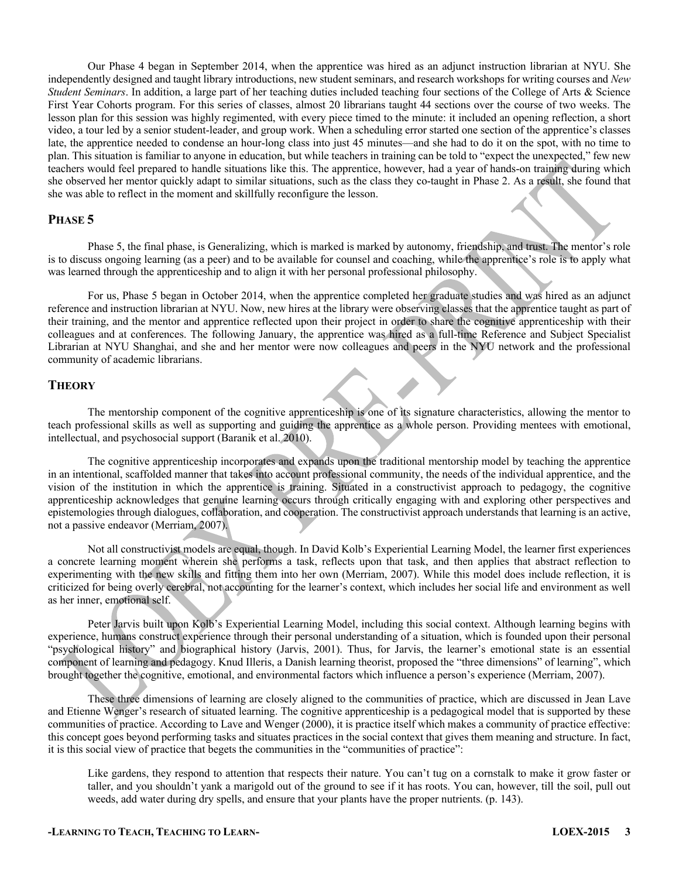Our Phase 4 began in September 2014, when the apprentice was hired as an adjunct instruction librarian at NYU. She independently designed and taught library introductions, new student seminars, and research workshops for writing courses and *New Student Seminars*. In addition, a large part of her teaching duties included teaching four sections of the College of Arts & Science First Year Cohorts program. For this series of classes, almost 20 librarians taught 44 sections over the course of two weeks. The lesson plan for this session was highly regimented, with every piece timed to the minute: it included an opening reflection, a short video, a tour led by a senior student-leader, and group work. When a scheduling error started one section of the apprentice's classes late, the apprentice needed to condense an hour-long class into just 45 minutes—and she had to do it on the spot, with no time to plan. This situation is familiar to anyone in education, but while teachers in training can be told to "expect the unexpected," few new teachers would feel prepared to handle situations like this. The apprentice, however, had a year of hands-on training during which she observed her mentor quickly adapt to similar situations, such as the class they co-taught in Phase 2. As a result, she found that she was able to reflect in the moment and skillfully reconfigure the lesson.

#### **PHASE 5**

Phase 5, the final phase, is Generalizing, which is marked is marked by autonomy, friendship, and trust. The mentor's role is to discuss ongoing learning (as a peer) and to be available for counsel and coaching, while the apprentice's role is to apply what was learned through the apprenticeship and to align it with her personal professional philosophy.

For us, Phase 5 began in October 2014, when the apprentice completed her graduate studies and was hired as an adjunct reference and instruction librarian at NYU. Now, new hires at the library were observing classes that the apprentice taught as part of their training, and the mentor and apprentice reflected upon their project in order to share the cognitive apprenticeship with their colleagues and at conferences. The following January, the apprentice was hired as a full-time Reference and Subject Specialist Librarian at NYU Shanghai, and she and her mentor were now colleagues and peers in the NYU network and the professional community of academic librarians.

#### **THEORY**

The mentorship component of the cognitive apprenticeship is one of its signature characteristics, allowing the mentor to teach professional skills as well as supporting and guiding the apprentice as a whole person. Providing mentees with emotional, intellectual, and psychosocial support (Baranik et al. 2010).

The cognitive apprenticeship incorporates and expands upon the traditional mentorship model by teaching the apprentice in an intentional, scaffolded manner that takes into account professional community, the needs of the individual apprentice, and the vision of the institution in which the apprentice is training. Situated in a constructivist approach to pedagogy, the cognitive apprenticeship acknowledges that genuine learning occurs through critically engaging with and exploring other perspectives and epistemologies through dialogues, collaboration, and cooperation. The constructivist approach understands that learning is an active, not a passive endeavor (Merriam, 2007).

Not all constructivist models are equal, though. In David Kolb's Experiential Learning Model, the learner first experiences a concrete learning moment wherein she performs a task, reflects upon that task, and then applies that abstract reflection to experimenting with the new skills and fitting them into her own (Merriam, 2007). While this model does include reflection, it is criticized for being overly cerebral, not accounting for the learner's context, which includes her social life and environment as well as her inner, emotional self.

Peter Jarvis built upon Kolb's Experiential Learning Model, including this social context. Although learning begins with experience, humans construct experience through their personal understanding of a situation, which is founded upon their personal "psychological history" and biographical history (Jarvis, 2001). Thus, for Jarvis, the learner's emotional state is an essential component of learning and pedagogy. Knud Illeris, a Danish learning theorist, proposed the "three dimensions" of learning", which brought together the cognitive, emotional, and environmental factors which influence a person's experience (Merriam, 2007).

These three dimensions of learning are closely aligned to the communities of practice, which are discussed in Jean Lave and Etienne Wenger's research of situated learning. The cognitive apprenticeship is a pedagogical model that is supported by these communities of practice. According to Lave and Wenger (2000), it is practice itself which makes a community of practice effective: this concept goes beyond performing tasks and situates practices in the social context that gives them meaning and structure. In fact, it is this social view of practice that begets the communities in the "communities of practice":

Like gardens, they respond to attention that respects their nature. You can't tug on a cornstalk to make it grow faster or taller, and you shouldn't yank a marigold out of the ground to see if it has roots. You can, however, till the soil, pull out weeds, add water during dry spells, and ensure that your plants have the proper nutrients. (p. 143).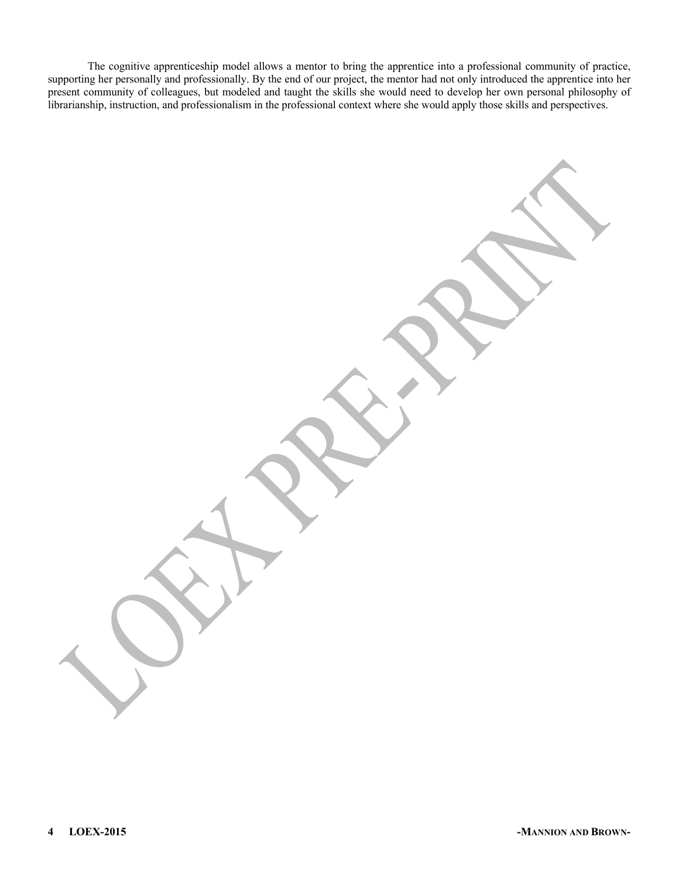The cognitive apprenticeship model allows a mentor to bring the apprentice into a professional community of practice, supporting her personally and professionally. By the end of our project, the mentor had not only introduced the apprentice into her present community of colleagues, but modeled and taught the skills she would need to develop her own personal philosophy of librarianship, instruction, and professionalism in the professional context where she would apply those skills and perspectives.